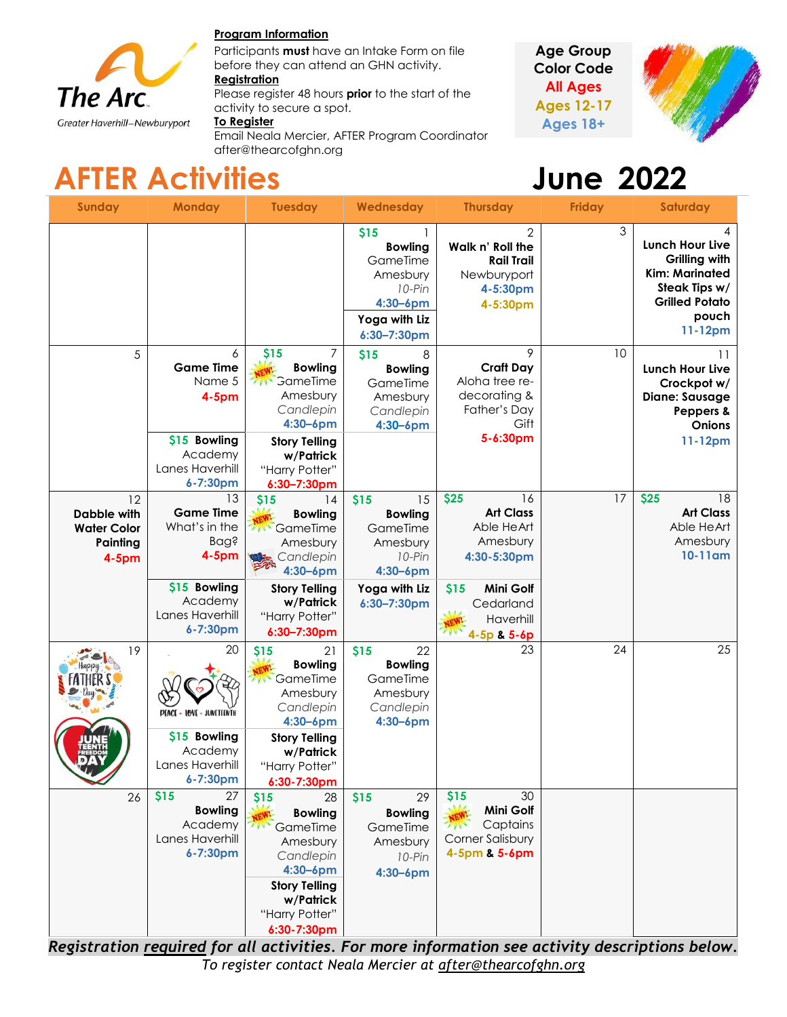

#### **Program Information**

Participants **must** have an Intake Form on file before they can attend an GHN activity.

#### **Registration**

Please register 48 hours **prior** to the start of the activity to secure a spot.

#### **To Register**

Email Neala Mercier, AFTER Program Coordinator after@thearcofghn.org

**Age Group Color Code All Ages Ages 12-17 Ages 18+**



# **AFTER Activities June 2022**

| <b>Sunday</b>                                                   | <b>Monday</b>                                                                                        | <b>Tuesday</b>                                                                                                                                                   | Wednesday                                                                                                       | <b>Thursday</b>                                                                                                  | <b>Friday</b> | <b>Saturday</b>                                                                                                                       |
|-----------------------------------------------------------------|------------------------------------------------------------------------------------------------------|------------------------------------------------------------------------------------------------------------------------------------------------------------------|-----------------------------------------------------------------------------------------------------------------|------------------------------------------------------------------------------------------------------------------|---------------|---------------------------------------------------------------------------------------------------------------------------------------|
|                                                                 |                                                                                                      |                                                                                                                                                                  | \$15<br><b>Bowling</b><br>GameTime<br>Amesbury<br>$10-Pin$<br>4:30-6pm<br>Yoga with Liz<br>6:30-7:30pm          | $\mathbf{2}$<br>Walk n' Roll the<br><b>Rail Trail</b><br>Newburyport<br>4-5:30pm<br>4-5:30pm                     | 3             | <b>Lunch Hour Live</b><br><b>Grilling with</b><br><b>Kim: Marinated</b><br>Steak Tips w/<br><b>Grilled Potato</b><br>pouch<br>11-12pm |
| 5                                                               | 6<br><b>Game Time</b><br>Name 5<br>$4-5pm$<br>\$15 Bowling<br>Academy<br>Lanes Haverhill<br>6-7:30pm | \$15<br><b>Bowling</b><br>GameTime<br>Amesbury<br>Candlepin<br>$4:30 - 6$ pm<br><b>Story Telling</b><br>w/Patrick<br>"Harry Potter"<br>$6:30 - 7:30$ pm          | \$15<br>8<br><b>Bowling</b><br>GameTime<br>Amesbury<br>Candlepin<br>$4:30 - 6$ pm                               | 9<br><b>Craft Day</b><br>Aloha tree re-<br>decorating &<br>Father's Day<br>Gift<br>5-6:30pm                      | 10            | 11<br><b>Lunch Hour Live</b><br>Crockpot w/<br><b>Diane: Sausage</b><br>Peppers &<br>Onions<br>11-12pm                                |
| 12<br>Dabble with<br><b>Water Color</b><br>Painting<br>$4-5$ pm | 13<br><b>Game Time</b><br>What's in the<br><b>Bag?</b><br>4-5pm<br>\$15 Bowling<br>Academy           | \$15<br>14<br><b>Bowling</b><br>GameTime<br>Amesbury<br>Candlepin<br>4:30-6pm<br><b>Story Telling</b><br>w/Patrick                                               | \$15<br>15<br><b>Bowling</b><br>GameTime<br>Amesbury<br>10-Pin<br>$4:30 - 6$ pm<br>Yoga with Liz<br>6:30-7:30pm | \$25<br>16<br><b>Art Class</b><br>Able HeArt<br>Amesbury<br>4:30-5:30pm<br><b>Mini Golf</b><br>\$15<br>Cedarland | 17            | \$25<br>18<br><b>Art Class</b><br>Able HeArt<br>Amesbury<br>10-11am                                                                   |
| 19                                                              | Lanes Haverhill<br>6-7:30pm<br>20                                                                    | "Harry Potter"<br>$6:30 - 7:30$ pm<br>21<br>\$15                                                                                                                 | \$15<br>22                                                                                                      | Haverhill<br>4-5p & 5-6p<br>23                                                                                   | 24            | 25                                                                                                                                    |
|                                                                 | PEACE - LOVE - JUNCTEENTH<br>\$15 Bowling<br>Academy                                                 | <b>Bowling</b><br>GameTime<br>Amesbury<br>Candlepin<br>$4:30 - 6$ pm<br><b>Story Telling</b><br>w/Patrick                                                        | <b>Bowling</b><br>GameTime<br>Amesbury<br>Candlepin<br>$4:30 - 6$ pm                                            |                                                                                                                  |               |                                                                                                                                       |
|                                                                 | Lanes Haverhill<br>6-7:30pm                                                                          | "Harry Potter"<br>6:30-7:30pm                                                                                                                                    |                                                                                                                 |                                                                                                                  |               |                                                                                                                                       |
| 26                                                              | \$15<br>27<br><b>Bowling</b><br>Academy<br>Lanes Haverhill<br>6-7:30pm                               | \$15<br>28<br><b>Bowling</b><br>2 Mg<br>GameTime<br>Amesbury<br>Candlepin<br>$4:30 - 6$ pm<br><b>Story Telling</b><br>w/Patrick<br>"Harry Potter"<br>6:30-7:30pm | 29<br>\$15<br><b>Bowling</b><br>GameTime<br>Amesbury<br>10-Pin<br>$4:30 - 6$ pm                                 | \$15<br>30<br>Mini Golf<br>Captains<br>7N<br>Corner Salisbury<br>4-5pm & 5-6pm                                   |               |                                                                                                                                       |

*Registration required for all activities. For more information see activity descriptions below. To register contact Neala Mercier at [after@thearcofghn.org](mailto:after@thearcofghn.org)*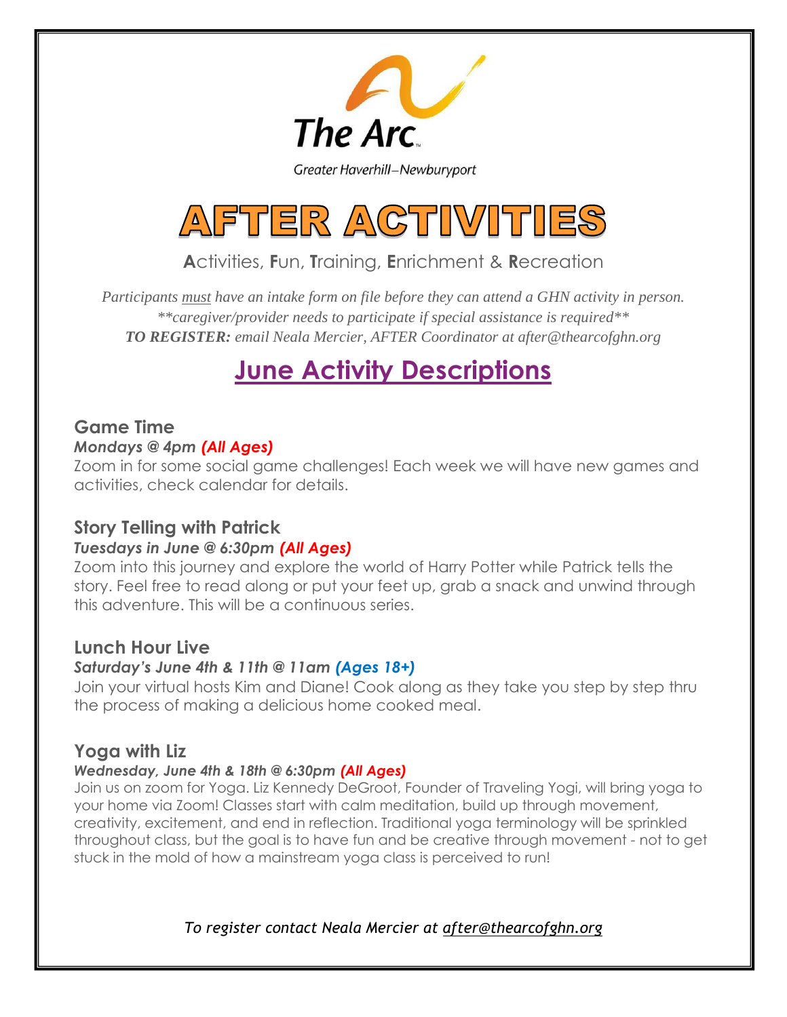

Greater Haverhill-Newburyport



**A**ctivities, **F**un, **T**raining, **E**nrichment & **R**ecreation

*Participants must have an intake form on file before they can attend a GHN activity in person. \*\*caregiver/provider needs to participate if special assistance is required\*\* TO REGISTER: email Neala Mercier, AFTER Coordinator at after@thearcofghn.org*

# **June Activity Descriptions**

## **Game Time**

## *Mondays @ 4pm (All Ages)*

Zoom in for some social game challenges! Each week we will have new games and activities, check calendar for details.

## **Story Telling with Patrick**

## *Tuesdays in June @ 6:30pm (All Ages)*

Zoom into this journey and explore the world of Harry Potter while Patrick tells the story. Feel free to read along or put your feet up, grab a snack and unwind through this adventure. This will be a continuous series.

## **Lunch Hour Live**

## *Saturday's June 4th & 11th @ 11am (Ages 18+)*

Join your virtual hosts Kim and Diane! Cook along as they take you step by step thru the process of making a delicious home cooked meal.

## **Yoga with Liz**

#### *Wednesday, June 4th & 18th @ 6:30pm (All Ages)*

Join us on zoom for Yoga. Liz Kennedy DeGroot, Founder of Traveling Yogi, will bring yoga to your home via Zoom! Classes start with calm meditation, build up through movement, creativity, excitement, and end in reflection. Traditional yoga terminology will be sprinkled throughout class, but the goal is to have fun and be creative through movement - not to get stuck in the mold of how a mainstream yoga class is perceived to run!

*To register contact Neala Mercier at [after@thearcofghn.org](mailto:after@thearcofghn.org)*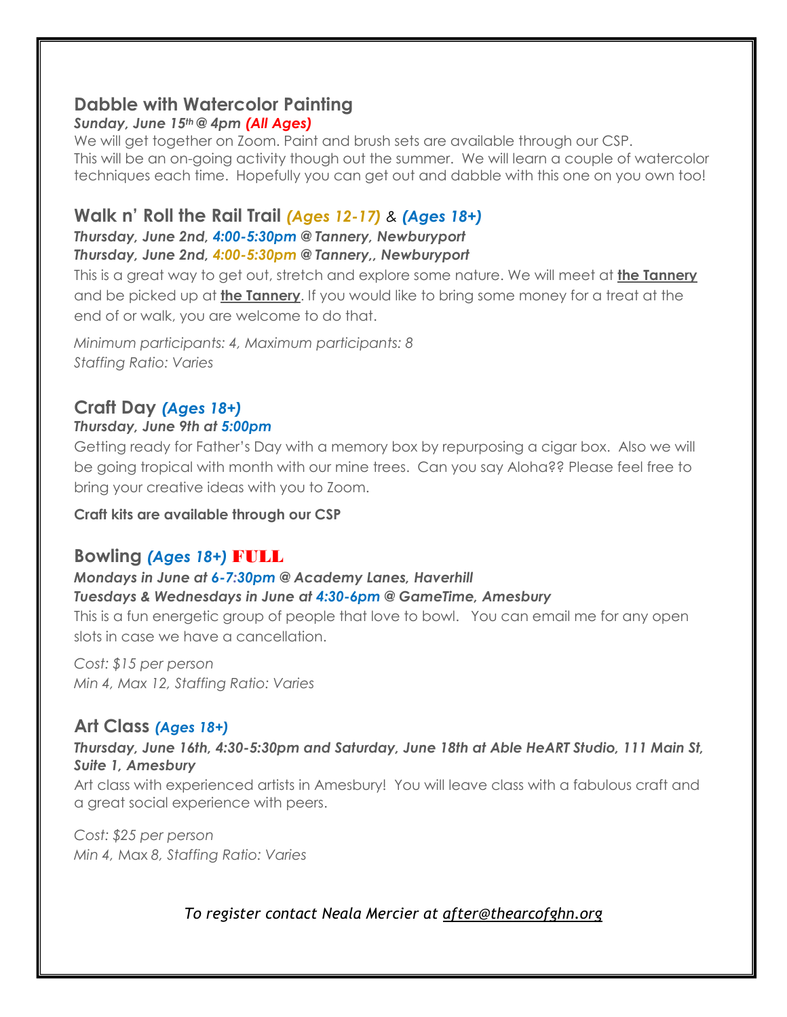## **Dabble with Watercolor Painting**

#### *Sunday, June 15th @ 4pm (All Ages)*

We will get together on Zoom. Paint and brush sets are available through our CSP. This will be an on-going activity though out the summer. We will learn a couple of watercolor techniques each time. Hopefully you can get out and dabble with this one on you own too!

## **Walk n' Roll the Rail Trail** *(Ages 12-17) & (Ages 18+)*

#### *Thursday, June 2nd, 4:00-5:30pm @ Tannery, Newburyport Thursday, June 2nd, 4:00-5:30pm @ Tannery,, Newburyport*

This is a great way to get out, stretch and explore some nature. We will meet at **the Tannery** and be picked up at **the Tannery**. If you would like to bring some money for a treat at the end of or walk, you are welcome to do that.

*Minimum participants: 4, Maximum participants: 8 Staffing Ratio: Varies* 

#### **Craft Day** *(Ages 18+) Thursday, June 9th at 5:00pm*

#### Getting ready for Father's Day with a memory box by repurposing a cigar box. Also we will be going tropical with month with our mine trees. Can you say Aloha?? Please feel free to bring your creative ideas with you to Zoom.

**Craft kits are available through our CSP**

## **Bowling** *(Ages 18+)* FULL

## *Mondays in June at 6-7:30pm @ Academy Lanes, Haverhill Tuesdays & Wednesdays in June at 4:30-6pm @ GameTime, Amesbury*

This is a fun energetic group of people that love to bowl. You can email me for any open slots in case we have a cancellation.

*Cost: \$15 per person Min 4, Max 12, Staffing Ratio: Varies*

## **Art Class** *(Ages 18+)*

#### *Thursday, June 16th, 4:30-5:30pm and Saturday, June 18th at Able HeART Studio, 111 Main St, Suite 1, Amesbury*

Art class with experienced artists in Amesbury! You will leave class with a fabulous craft and a great social experience with peers.

*Cost: \$25 per person Min 4,* Max *8, Staffing Ratio: Varies*

*To register contact Neala Mercier at [after@thearcofghn.org](mailto:after@thearcofghn.org)*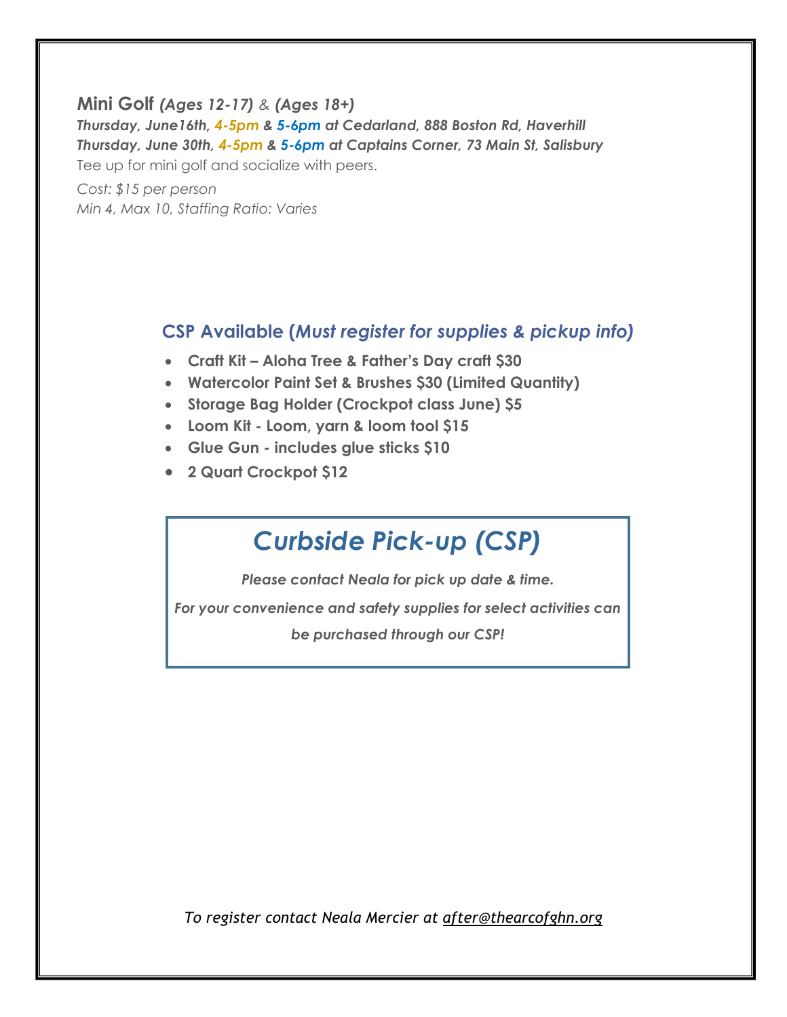#### **Mini Golf** *(Ages 12-17) & (Ages 18+)*

*Thursday, June16th, 4-5pm & 5-6pm at Cedarland, 888 Boston Rd, Haverhill Thursday, June 30th, 4-5pm & 5-6pm at Captains Corner, 73 Main St, Salisbury* Tee up for mini golf and socialize with peers.

*Cost: \$15 per person Min 4, Max 10, Staffing Ratio: Varies*

## **CSP Available (***Must register for supplies & pickup info)*

- **Craft Kit – Aloha Tree & Father's Day craft \$30**
- **Watercolor Paint Set & Brushes \$30 (Limited Quantity)**
- **Storage Bag Holder (Crockpot class June) \$5**
- **Loom Kit - Loom, yarn & loom tool \$15**
- **Glue Gun - includes glue sticks \$10**
- **2 Quart Crockpot \$12**

*CSP Available*

## *Curbside Pick-up (CSP)*

*Please contact Neala for pick up date & time.*

*For your convenience and safety supplies for select activities can* 

*be purchased through our CSP!*

*To register contact Neala Mercier at [after@thearcofghn.org](mailto:after@thearcofghn.org)*